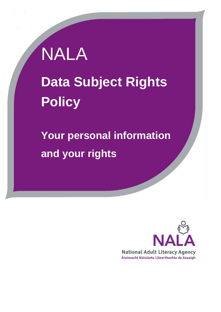# NALA **Data Subject Rights Policy**

**Your personal information and your rights**

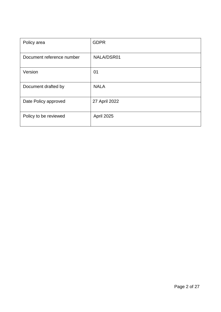| Policy area               | <b>GDPR</b>   |
|---------------------------|---------------|
| Document reference number | NALA/DSR01    |
| Version                   | 01            |
| Document drafted by       | <b>NALA</b>   |
| Date Policy approved      | 27 April 2022 |
| Policy to be reviewed     | April 2025    |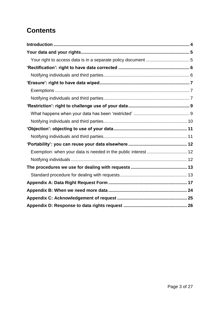# **Contents**

| Exemption: when your data is needed in the public interest  12 |  |
|----------------------------------------------------------------|--|
|                                                                |  |
|                                                                |  |
|                                                                |  |
|                                                                |  |
|                                                                |  |
|                                                                |  |
|                                                                |  |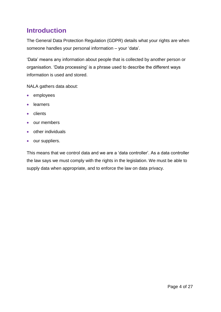# <span id="page-3-0"></span>**Introduction**

The General Data Protection Regulation (GDPR) details what your rights are when someone handles your personal information – your 'data'.

'Data' means any information about people that is collected by another person or organisation. 'Data processing' is a phrase used to describe the different ways information is used and stored.

NALA gathers data about:

- employees
- **•** learners
- **•** clients
- our members
- other individuals
- our suppliers.

This means that we control data and we are a 'data controller'. As a data controller the law says we must comply with the rights in the legislation. We must be able to supply data when appropriate, and to enforce the law on data privacy.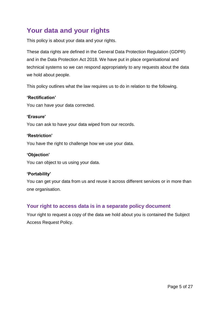# <span id="page-4-0"></span>**Your data and your rights**

This policy is about your data and your rights.

These data rights are defined in the General Data Protection Regulation (GDPR) and in the Data Protection Act 2018. We have put in place organisational and technical systems so we can respond appropriately to any requests about the data we hold about people.

This policy outlines what the law requires us to do in relation to the following.

#### **'Rectification'**

You can have your data corrected.

#### **'Erasure'**

You can ask to have your data wiped from our records.

#### **'Restriction'**

You have the right to challenge how we use your data.

#### **'Objection'**

You can object to us using your data.

#### **'Portability'**

You can get your data from us and reuse it across different services or in more than one organisation.

#### <span id="page-4-1"></span>**Your right to access data is in a separate policy document**

Your right to request a copy of the data we hold about you is contained the Subject Access Request Policy.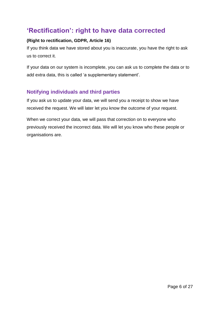# <span id="page-5-0"></span>**'Rectification': right to have data corrected**

#### **(Right to rectification, GDPR, Article 16)**

If you think data we have stored about you is inaccurate, you have the right to ask us to correct it.

If your data on our system is incomplete, you can ask us to complete the data or to add extra data, this is called 'a supplementary statement'.

#### <span id="page-5-1"></span>**Notifying individuals and third parties**

If you ask us to update your data, we will send you a receipt to show we have received the request. We will later let you know the outcome of your request.

When we correct your data, we will pass that correction on to everyone who previously received the incorrect data. We will let you know who these people or organisations are.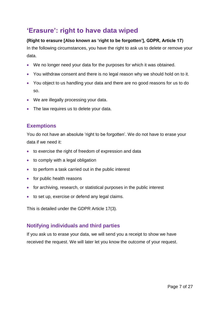# <span id="page-6-0"></span>**'Erasure': right to have data wiped**

#### **(Right to erasure [Also known as 'right to be forgotten'], GDPR, Article 17)**

In the following circumstances, you have the right to ask us to delete or remove your data.

- We no longer need your data for the purposes for which it was obtained.
- You withdraw consent and there is no legal reason why we should hold on to it.
- You object to us handling your data and there are no good reasons for us to do so.
- We are illegally processing your data.
- The law requires us to delete your data.

#### <span id="page-6-1"></span>**Exemptions**

You do not have an absolute 'right to be forgotten'. We do not have to erase your data if we need it:

- to exercise the right of freedom of expression and data
- to comply with a legal obligation
- to perform a task carried out in the public interest
- for public health reasons
- for archiving, research, or statistical purposes in the public interest
- to set up, exercise or defend any legal claims.

This is detailed under the GDPR Article 17(3).

#### <span id="page-6-2"></span>**Notifying individuals and third parties**

If you ask us to erase your data, we will send you a receipt to show we have received the request. We will later let you know the outcome of your request.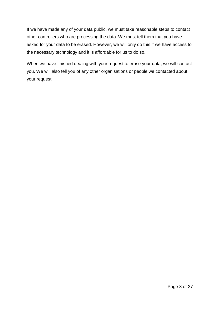If we have made any of your data public, we must take reasonable steps to contact other controllers who are processing the data. We must tell them that you have asked for your data to be erased. However, we will only do this if we have access to the necessary technology and it is affordable for us to do so.

When we have finished dealing with your request to erase your data, we will contact you. We will also tell you of any other organisations or people we contacted about your request.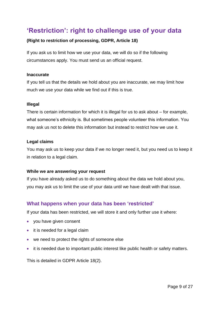# <span id="page-8-0"></span>**'Restriction': right to challenge use of your data**

#### **(Right to restriction of processing, GDPR, Article 18)**

If you ask us to limit how we use your data, we will do so if the following circumstances apply. You must send us an official request.

#### **Inaccurate**

If you tell us that the details we hold about you are inaccurate, we may limit how much we use your data while we find out if this is true.

#### **Illegal**

There is certain information for which it is illegal for us to ask about – for example, what someone's ethnicity is. But sometimes people volunteer this information. You may ask us not to delete this information but instead to restrict how we use it.

#### **Legal claims**

You may ask us to keep your data if we no longer need it, but you need us to keep it in relation to a legal claim.

#### **While we are answering your request**

If you have already asked us to do something about the data we hold about you, you may ask us to limit the use of your data until we have dealt with that issue.

#### <span id="page-8-1"></span>**What happens when your data has been 'restricted'**

If your data has been restricted, we will store it and only further use it where:

- you have given consent
- it is needed for a legal claim
- we need to protect the rights of someone else
- it is needed due to important public interest like public health or safety matters.

This is detailed in GDPR Article 18(2).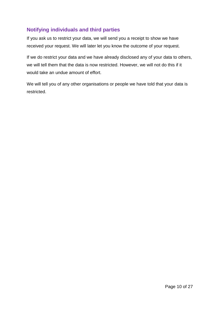#### <span id="page-9-0"></span>**Notifying individuals and third parties**

If you ask us to restrict your data, we will send you a receipt to show we have received your request. We will later let you know the outcome of your request.

If we do restrict your data and we have already disclosed any of your data to others, we will tell them that the data is now restricted. However, we will not do this if it would take an undue amount of effort.

We will tell you of any other organisations or people we have told that your data is restricted.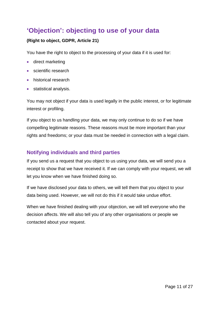# <span id="page-10-0"></span>**'Objection': objecting to use of your data**

#### **(Right to object, GDPR, Article 21)**

You have the right to object to the processing of your data if it is used for:

- direct marketing
- scientific research
- **•** historical research
- statistical analysis.

You may not object if your data is used legally in the public interest, or for legitimate interest or profiling.

If you object to us handling your data, we may only continue to do so if we have compelling legitimate reasons. These reasons must be more important than your rights and freedoms; or your data must be needed in connection with a legal claim.

#### <span id="page-10-1"></span>**Notifying individuals and third parties**

If you send us a request that you object to us using your data, we will send you a receipt to show that we have received it. If we can comply with your request, we will let you know when we have finished doing so.

If we have disclosed your data to others, we will tell them that you object to your data being used. However, we will not do this if it would take undue effort.

When we have finished dealing with your objection, we will tell everyone who the decision affects. We will also tell you of any other organisations or people we contacted about your request.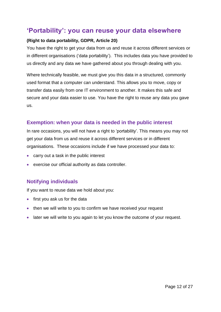## <span id="page-11-0"></span>**'Portability': you can reuse your data elsewhere**

#### **(Right to data portability, GDPR, Article 20)**

You have the right to get your data from us and reuse it across different services or in different organisations ('data portability'). This includes data you have provided to us directly and any data we have gathered about you through dealing with you.

Where technically feasible, we must give you this data in a structured, commonly used format that a computer can understand. This allows you to move, copy or transfer data easily from one IT environment to another. It makes this safe and secure and your data easier to use. You have the right to reuse any data you gave us.

#### <span id="page-11-1"></span>**Exemption: when your data is needed in the public interest**

In rare occasions, you will not have a right to 'portability'. This means you may not get your data from us and reuse it across different services or in different organisations. These occasions include if we have processed your data to:

- carry out a task in the public interest
- exercise our official authority as data controller.

#### <span id="page-11-2"></span>**Notifying individuals**

If you want to reuse data we hold about you:

- first you ask us for the data
- then we will write to you to confirm we have received your request
- later we will write to you again to let you know the outcome of your request.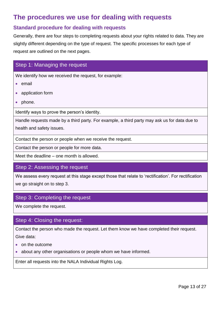## <span id="page-12-0"></span>**The procedures we use for dealing with requests**

#### <span id="page-12-1"></span>**Standard procedure for dealing with requests**

Generally, there are four steps to completing requests about your rights related to data. They are slightly different depending on the type of request. The specific processes for each type of request are outlined on the next pages.

#### Step 1: Managing the request

We identify how we received the request, for example:

- email
- application form
- phone.

Identify ways to prove the person's identity.

Handle requests made by a third party. For example, a third party may ask us for data due to health and safety issues.

Contact the person or people when we receive the request.

Contact the person or people for more data.

Meet the deadline – one month is allowed.

#### Step 2: Assessing the request

We assess every request at this stage except those that relate to 'rectification'. For rectification we go straight on to step 3.

#### Step 3: Completing the request

We complete the request.

#### Step 4: Closing the request:

Contact the person who made the request. Let them know we have completed their request. Give data:

- on the outcome
- about any other organisations or people whom we have informed.

Enter all requests into the NALA Individual Rights Log.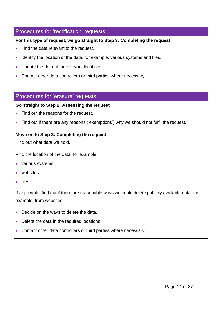#### Procedures for 'rectification' requests

#### **For this type of request, we go straight to Step 3: Completing the request**

- Find the data relevant to the request.
- Identify the location of the data, for example, various systems and files.
- Update the data at the relevant locations.
- Contact other data controllers or third parties where necessary.

#### Procedures for 'erasure' requests

#### **Go straight to Step 2: Assessing the request**

- Find out the reasons for the request.
- Find out if there are any reasons ('exemptions') why we should not fulfil the request.

#### **Move on to Step 3: Completing the request**

Find out what data we hold.

Find the location of the data, for example:

- various systems
- websites
- files.

If applicable, find out if there are reasonable ways we could delete publicly available data, for example, from websites.

- Decide on the ways to delete the data.
- Delete the data in the required locations.
- Contact other data controllers or third parties where necessary.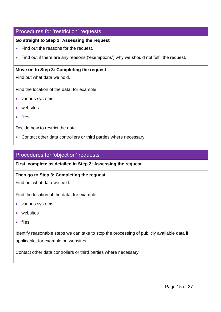#### Procedures for 'restriction' requests

#### **Go straight to Step 2: Assessing the request**

- Find out the reasons for the request.
- Find out if there are any reasons ('exemptions') why we should not fulfil the request.

#### **Move on to Step 3: Completing the request**

Find out what data we hold.

Find the location of the data, for example:

- various systems
- websites
- **•** files

Decide how to restrict the data.

Contact other data controllers or third parties where necessary.

#### Procedures for 'objection' requests

**First, complete as detailed in Step 2: Assessing the request** 

#### **Then go to Step 3: Completing the request**

Find out what data we hold.

Find the location of the data, for example:

- various systems
- websites
- **•** files.

Identify reasonable steps we can take to stop the processing of publicly available data if applicable, for example on websites.

Contact other data controllers or third parties where necessary.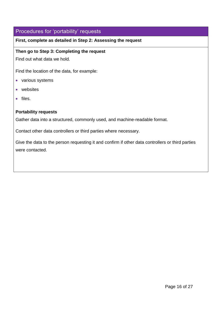#### Procedures for 'portability' requests

#### **First, complete as detailed in Step 2: Assessing the request**

#### **Then go to Step 3: Completing the request**

Find out what data we hold.

Find the location of the data, for example:

- various systems
- websites
- files.

#### **Portability requests**

Gather data into a structured, commonly used, and machine-readable format.

Contact other data controllers or third parties where necessary.

Give the data to the person requesting it and confirm if other data controllers or third parties were contacted.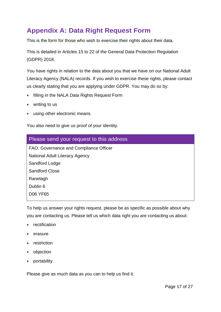# <span id="page-16-0"></span>**Appendix A: Data Right Request Form**

This is the form for those who wish to exercise their rights about their data.

This is detailed in Articles 15 to 22 of the General Data Protection Regulation (GDPR) 2018.

You have rights in relation to the data about you that we have on our National Adult Literacy Agency (NALA) records. If you wish to exercise these rights, please contact us clearly stating that you are applying under GDPR. You may do so by:

- filling in the NALA Data Rights Request Form
- writing to us
- using other electronic means.

You also need to give us proof of your identity.

| Please send your request to this address |  |
|------------------------------------------|--|
| FAO: Governance and Compliance Officer   |  |
| National Adult Literacy Agency           |  |
| Sandford Lodge                           |  |
| <b>Sandford Close</b>                    |  |
| Ranelagh                                 |  |
| Dublin 6                                 |  |
| <b>D06 YF65</b>                          |  |

To help us answer your rights request, please be as specific as possible about why you are contacting us. Please tell us which data right you are contacting us about:

- rectification
- erasure
- restriction
- objection
- portability.

Please give as much data as you can to help us find it.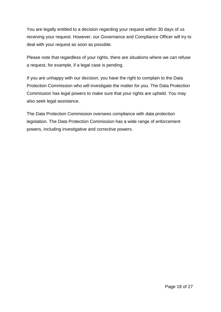You are legally entitled to a decision regarding your request within 30 days of us receiving your request. However, our Governance and Compliance Officer will try to deal with your request as soon as possible.

Please note that regardless of your rights, there are situations where we can refuse a request, for example, if a legal case is pending.

If you are unhappy with our decision, you have the right to complain to the Data Protection Commission who will investigate the matter for you. The Data Protection Commission has legal powers to make sure that your rights are upheld. You may also seek legal assistance.

The Data Protection Commission oversees compliance with data protection legislation. The Data Protection Commission has a wide range of enforcement powers, including investigative and corrective powers.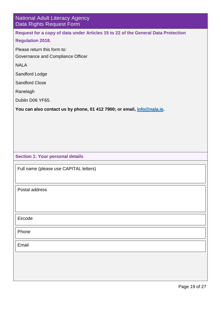| <b>National Adult Literacy Agency</b><br>Data Rights Request Form                 |
|-----------------------------------------------------------------------------------|
| Request for a copy of data under Articles 15 to 22 of the General Data Protection |
| <b>Regulation 2018.</b>                                                           |
| Please return this form to:<br>Governance and Compliance Officer                  |
| <b>NALA</b>                                                                       |
| Sandford Lodge                                                                    |
| <b>Sandford Close</b>                                                             |
| Ranelagh                                                                          |
| Dublin D06 YF65.                                                                  |
| You can also contact us by phone, 01 412 7900; or email, info@nala.ie.            |
|                                                                                   |
| <b>Section 1: Your personal details</b>                                           |
| Full name (please use CAPITAL letters)                                            |
| Postal address                                                                    |
|                                                                                   |
| Eircode                                                                           |
| Phone                                                                             |
| Email                                                                             |
|                                                                                   |
|                                                                                   |
|                                                                                   |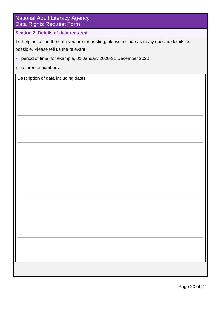# National Adult Literacy Agency Data Rights Request Form **Section 2: Details of data required** To help us to find the data you are requesting, please include as many specific details as possible. Please tell us the relevant: period of time, for example, 01 January 2020-31 December 2020 • reference numbers. Description of data including dates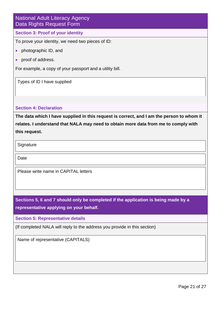#### National Adult Literacy Agency Data Rights Request Form

#### **Section 3: Proof of your identity**

To prove your identity, we need two pieces of ID:

- photographic ID, and
- proof of address.

For example, a copy of your passport and a utility bill.

Types of ID I have supplied

**Section 4: Declaration**

**The data which I have supplied in this request is correct, and I am the person to whom it relates. I understand that NALA may need to obtain more data from me to comply with this request.**

**Signature** 

Date

Please write name in CAPITAL letters

**Sections 5, 6 and 7 should only be completed if the application is being made by a representative applying on your behalf.**

**Section 5: Representative details**

(If completed NALA will reply to the address you provide in this section)

Name of representative (CAPITALS)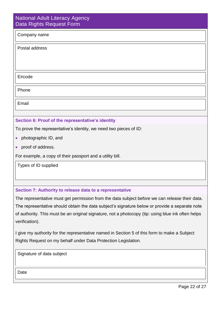#### National Adult Literacy Agency Data Rights Request Form

#### Company name

Postal address

Eircode

Phone

Email

#### **Section 6: Proof of the representative's identity**

To prove the representative's identity, we need two pieces of ID:

- photographic ID, and
- proof of address.

For example, a copy of their passport and a utility bill.

Types of ID supplied

#### **Section 7: Authority to release data to a representative**

The representative must get permission from the data subject before we can release their data. The representative should obtain the data subject's signature below or provide a separate note of authority. This must be an original signature, not a photocopy (tip: using blue ink often helps verification).

I give my authority for the representative named in Section 5 of this form to make a Subject Rights Request on my behalf under Data Protection Legislation.

Signature of data subject

Date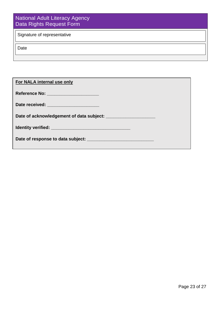#### National Adult Literacy Agency Data Rights Request Form

Signature of representative

Date

| For NALA internal use only                                                                                      |
|-----------------------------------------------------------------------------------------------------------------|
| Reference No: _______________________                                                                           |
| Date received: _______________________                                                                          |
| Date of acknowledgement of data subject: National Contract Control of Action Contract Control Control Control C |
|                                                                                                                 |
|                                                                                                                 |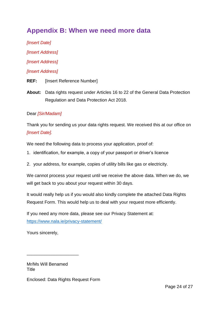# <span id="page-23-0"></span>**Appendix B: When we need more data**

*[Insert Date]*

*[Insert Address]*

*[Insert Address]*

*[Insert Address]*

**REF:** [Insert Reference Number]

**About:** Data rights request under Articles 16 to 22 of the General Data Protection Regulation and Data Protection Act 2018.

Dear *[Sir/Madam]*

Thank you for sending us your data rights request. We received this at our office on *[Insert Date].*

We need the following data to process your application, proof of:

- 1. identification, for example, a copy of your passport or driver's licence
- 2. your address, for example, copies of utility bills like gas or electricity.

We cannot process your request until we receive the above data. When we do, we will get back to you about your request within 30 days.

It would really help us if you would also kindly complete the attached Data Rights Request Form. This would help us to deal with your request more efficiently.

If you need any more data, please see our Privacy Statement at:

<https://www.nala.ie/privacy-statement/>

Yours sincerely,

Mr/Ms Will Benamed **Title** 

\_\_\_\_\_\_\_\_\_\_\_\_\_\_\_\_\_\_\_\_\_

Enclosed: Data Rights Request Form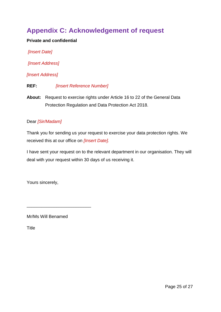# <span id="page-24-0"></span>**Appendix C: Acknowledgement of request**

#### **Private and confidential**

*[Insert Date]*

*[Insert Address]*

*[Insert Address]*

#### **REF:** *[Insert Reference Number]*

**About:** Request to exercise rights under Article 16 to 22 of the General Data Protection Regulation and Data Protection Act 2018.

#### Dear *[Sir/Madam]*

Thank you for sending us your request to exercise your data protection rights. We received this at our office on *[Insert Date].*

I have sent your request on to the relevant department in our organisation. They will deal with your request within 30 days of us receiving it.

Yours sincerely,

Mr/Ms Will Benamed

\_\_\_\_\_\_\_\_\_\_\_\_\_\_\_\_\_\_\_\_\_\_\_\_\_\_

**Title**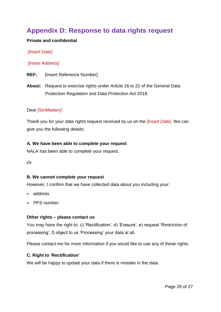# <span id="page-25-0"></span>**Appendix D: Response to data rights request**

#### **Private and confidential**

#### *[Insert Date]*

#### *[Insert Address]*

**REF:** [Insert Reference Number]

**About:** Request to exercise rights under Article 16 to 22 of the General Data Protection Regulation and Data Protection Act 2018.

#### Dear *[Sir/Madam]*

Thank you for your data rights request received by us on the *[Insert Date]*. We can give you the following details:

#### **A. We have been able to complete your request**

NALA has been able to complete your request.

Or

#### **B. We cannot complete your request**

However, I confirm that we have collected data about you including your:

- address
- · PPS number.

#### **Other rights – please contact us**

You may have the right to: c) 'Rectification', d) 'Erasure', e) request 'Restriction of processing', f) object to us 'Processing' your data at all.

Please contact me for more information if you would like to use any of these rights.

#### **C. Right to 'Rectification'**

We will be happy to update your data if there is mistake in the data.